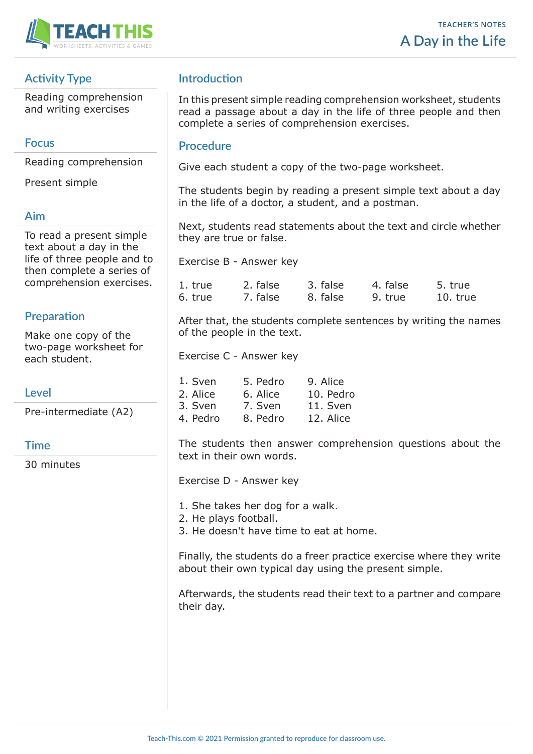

# **Activity Type**

Reading comprehension and writing exercises

## **Focus**

Reading comprehension

Present simple

## **Aim**

To read a present simple text about a day in the life of three people and to then complete a series of comprehension exercises.

## **Preparation**

Make one copy of the two-page worksheet for each student.

## **Level**

Pre-intermediate (A2)

### **Time**

30 minutes

# **Introduction**

In this present simple reading comprehension worksheet, students read a passage about a day in the life of three people and then complete a series of comprehension exercises.

### **Procedure**

Give each student a copy of the two-page worksheet.

The students begin by reading a present simple text about a day in the life of a doctor, a student, and a postman.

Next, students read statements about the text and circle whether they are true or false.

Exercise B - Answer key

| 1. true | 2. false | 3. false | 4. false | 5. true    |
|---------|----------|----------|----------|------------|
| 6. true | 7. false | 8. false | 9. true  | $10.$ true |

After that, the students complete sentences by writing the names of the people in the text.

Exercise C - Answer key

| 1. Sven  | 5. Pedro | 9. Alice  |
|----------|----------|-----------|
| 2. Alice | 6. Alice | 10. Pedro |
| 3. Sven  | 7. Sven  | 11. Sven  |
| 4. Pedro | 8. Pedro | 12. Alice |

The students then answer comprehension questions about the text in their own words.

Exercise D - Answer key

1. She takes her dog for a walk.

2. He plays football.

3. He doesn't have time to eat at home.

Finally, the students do a freer practice exercise where they write about their own typical day using the present simple.

Afterwards, the students read their text to a partner and compare their day.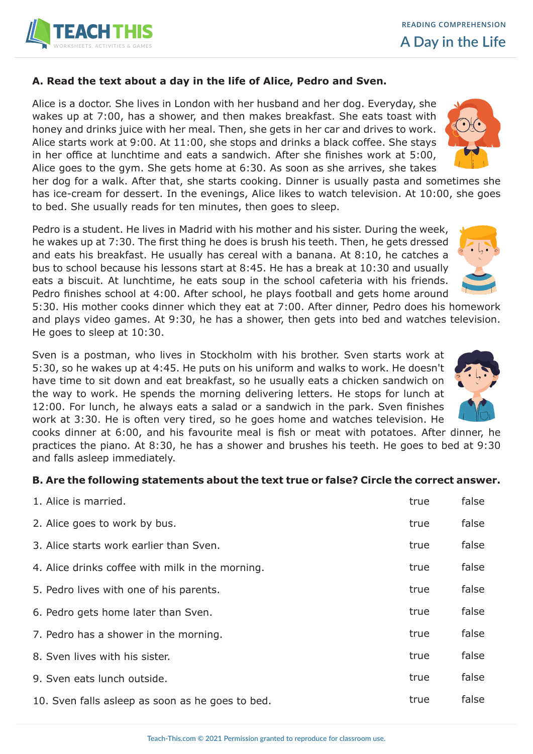

#### **A. Read the text about a day in the life of Alice, Pedro and Sven.**

Alice is a doctor. She lives in London with her husband and her dog. Everyday, she wakes up at 7:00, has a shower, and then makes breakfast. She eats toast with honey and drinks juice with her meal. Then, she gets in her car and drives to work. Alice starts work at 9:00. At 11:00, she stops and drinks a black coffee. She stays in her office at lunchtime and eats a sandwich. After she finishes work at 5:00, Alice goes to the gym. She gets home at 6:30. As soon as she arrives, she takes

her dog for a walk. After that, she starts cooking. Dinner is usually pasta and sometimes she has ice-cream for dessert. In the evenings, Alice likes to watch television. At 10:00, she goes to bed. She usually reads for ten minutes, then goes to sleep.

Pedro is a student. He lives in Madrid with his mother and his sister. During the week, he wakes up at 7:30. The first thing he does is brush his teeth. Then, he gets dressed and eats his breakfast. He usually has cereal with a banana. At 8:10, he catches a bus to school because his lessons start at 8:45. He has a break at 10:30 and usually eats a biscuit. At lunchtime, he eats soup in the school cafeteria with his friends. Pedro finishes school at 4:00. After school, he plays football and gets home around

5:30. His mother cooks dinner which they eat at 7:00. After dinner, Pedro does his homework and plays video games. At 9:30, he has a shower, then gets into bed and watches television. He goes to sleep at 10:30.

Sven is a postman, who lives in Stockholm with his brother. Sven starts work at 5:30, so he wakes up at 4:45. He puts on his uniform and walks to work. He doesn't have time to sit down and eat breakfast, so he usually eats a chicken sandwich on the way to work. He spends the morning delivering letters. He stops for lunch at 12:00. For lunch, he always eats a salad or a sandwich in the park. Sven finishes work at 3:30. He is often very tired, so he goes home and watches television. He



cooks dinner at 6:00, and his favourite meal is fish or meat with potatoes. After dinner, he practices the piano. At 8:30, he has a shower and brushes his teeth. He goes to bed at 9:30 and falls asleep immediately.

#### **B. Are the following statements about the text true or false? Circle the correct answer.**

| 1. Alice is married.                             | true | false |
|--------------------------------------------------|------|-------|
| 2. Alice goes to work by bus.                    | true | false |
| 3. Alice starts work earlier than Sven.          | true | false |
| 4. Alice drinks coffee with milk in the morning. | true | false |
| 5. Pedro lives with one of his parents.          | true | false |
| 6. Pedro gets home later than Sven.              | true | false |
| 7. Pedro has a shower in the morning.            | true | false |
| 8. Sven lives with his sister.                   | true | false |
| 9. Sven eats lunch outside.                      | true | false |
| 10. Sven falls asleep as soon as he goes to bed. | true | false |